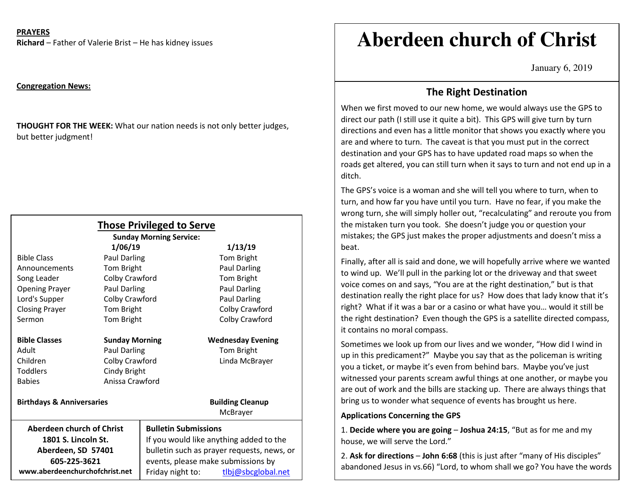**PRAYERS** 

**Richard** – Father of Valerie Brist – He has kidney issues

#### **Congregation News:**

**THOUGHT FOR THE WEEK:** What our nation needs is not only better judges, but better judgment!

|                                      |                       | <b>Those Privileged to Serve</b><br><b>Sunday Morning Service:</b> |                                     |
|--------------------------------------|-----------------------|--------------------------------------------------------------------|-------------------------------------|
|                                      | 1/06/19               |                                                                    | 1/13/19                             |
| <b>Bible Class</b>                   | Paul Darling          |                                                                    | Tom Bright                          |
| Announcements                        | Tom Bright            |                                                                    | Paul Darling                        |
| Song Leader                          | Colby Crawford        |                                                                    | Tom Bright                          |
| <b>Opening Prayer</b>                | Paul Darling          |                                                                    | Paul Darling                        |
| Lord's Supper                        | Colby Crawford        |                                                                    | Paul Darling                        |
| <b>Closing Prayer</b>                | Tom Bright            |                                                                    | Colby Crawford                      |
| Sermon                               | Tom Bright            |                                                                    | Colby Crawford                      |
| <b>Bible Classes</b>                 | <b>Sunday Morning</b> |                                                                    | <b>Wednesday Evening</b>            |
| Adult                                | <b>Paul Darling</b>   |                                                                    | Tom Bright                          |
| Children                             | Colby Crawford        |                                                                    | Linda McBrayer                      |
| <b>Toddlers</b>                      | Cindy Bright          |                                                                    |                                     |
| <b>Babies</b>                        | Anissa Crawford       |                                                                    |                                     |
| <b>Birthdays &amp; Anniversaries</b> |                       |                                                                    | <b>Building Cleanup</b><br>McBrayer |
| Aberdeen church of Christ            |                       | <b>Bulletin Submissions</b>                                        |                                     |
| 1801 S. Lincoln St.                  |                       | If you would like anything added to the                            |                                     |
| Aberdeen, SD 57401                   |                       | bulletin such as prayer requests, news, or                         |                                     |
| 605-225-3621                         |                       | events, please make submissions by                                 |                                     |
| www.aberdeenchurchofchrist.net       |                       | Friday night to:                                                   | tlbj@sbcglobal.net                  |

# **Aberdeen church of Christ**

January 6, 2019

## **The Right Destination**

When we first moved to our new home, we would always use the GPS to direct our path (I still use it quite a bit). This GPS will give turn by turn directions and even has a little monitor that shows you exactly where you are and where to turn. The caveat is that you must put in the correct destination and your GPS has to have updated road maps so when the roads get altered, you can still turn when it says to turn and not end up in a ditch.

The GPS's voice is a woman and she will tell you where to turn, when to turn, and how far you have until you turn. Have no fear, if you make the wrong turn, she will simply holler out, "recalculating" and reroute you from the mistaken turn you took. She doesn't judge you or question your mistakes; the GPS just makes the proper adjustments and doesn't miss a beat.

Finally, after all is said and done, we will hopefully arrive where we wanted to wind up. We'll pull in the parking lot or the driveway and that sweet voice comes on and says, "You are at the right destination," but is that destination really the right place for us? How does that lady know that it's right? What if it was a bar or a casino or what have you… would it still be the right destination? Even though the GPS is a satellite directed compass, it contains no moral compass.

Sometimes we look up from our lives and we wonder, "How did I wind in up in this predicament?" Maybe you say that as the policeman is writing you a ticket, or maybe it's even from behind bars. Maybe you've just witnessed your parents scream awful things at one another, or maybe you are out of work and the bills are stacking up. There are always things that bring us to wonder what sequence of events has brought us here.

#### **Applications Concerning the GPS**

of eternal life."

1. **Decide where you are going** – **Joshua 24:15**, "But as for me and my house, we will serve the Lord."

2. **Ask for directions** – **John 6:68** (this is just after "many of His disciples" abandoned Jesus in vs.66) "Lord, to whom shall we go? You have the words